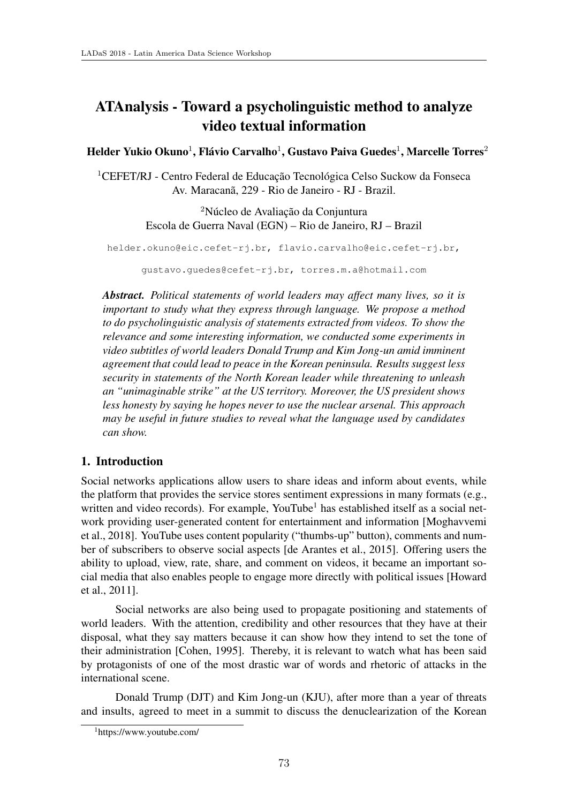# ATAnalysis - Toward a psycholinguistic method to analyze video textual information

Helder Yukio Okuno<sup>1</sup>, Flávio Carvalho<sup>1</sup>, Gustavo Paiva Guedes<sup>1</sup>, Marcelle Torres<sup>2</sup>

 $1$ CEFET/RJ - Centro Federal de Educação Tecnológica Celso Suckow da Fonseca Av. Maracanã, 229 - Rio de Janeiro - RJ - Brazil.

> <sup>2</sup>Núcleo de Avaliação da Conjuntura Escola de Guerra Naval (EGN) – Rio de Janeiro, RJ – Brazil

helder.okuno@eic.cefet-rj.br, flavio.carvalho@eic.cefet-rj.br, gustavo.guedes@cefet-rj.br, torres.m.a@hotmail.com

*Abstract. Political statements of world leaders may affect many lives, so it is important to study what they express through language. We propose a method to do psycholinguistic analysis of statements extracted from videos. To show the relevance and some interesting information, we conducted some experiments in video subtitles of world leaders Donald Trump and Kim Jong-un amid imminent agreement that could lead to peace in the Korean peninsula. Results suggest less security in statements of the North Korean leader while threatening to unleash an "unimaginable strike" at the US territory. Moreover, the US president shows less honesty by saying he hopes never to use the nuclear arsenal. This approach may be useful in future studies to reveal what the language used by candidates can show.*

# 1. Introduction

Social networks applications allow users to share ideas and inform about events, while the platform that provides the service stores sentiment expressions in many formats (e.g., written and video records). For example, YouTube<sup>1</sup> has established itself as a social network providing user-generated content for entertainment and information [Moghavvemi et al., 2018]. YouTube uses content popularity ("thumbs-up" button), comments and number of subscribers to observe social aspects [de Arantes et al., 2015]. Offering users the ability to upload, view, rate, share, and comment on videos, it became an important social media that also enables people to engage more directly with political issues [Howard et al., 2011].

Social networks are also being used to propagate positioning and statements of world leaders. With the attention, credibility and other resources that they have at their disposal, what they say matters because it can show how they intend to set the tone of their administration [Cohen, 1995]. Thereby, it is relevant to watch what has been said by protagonists of one of the most drastic war of words and rhetoric of attacks in the international scene.

Donald Trump (DJT) and Kim Jong-un (KJU), after more than a year of threats and insults, agreed to meet in a summit to discuss the denuclearization of the Korean

<sup>1</sup>https://www.youtube.com/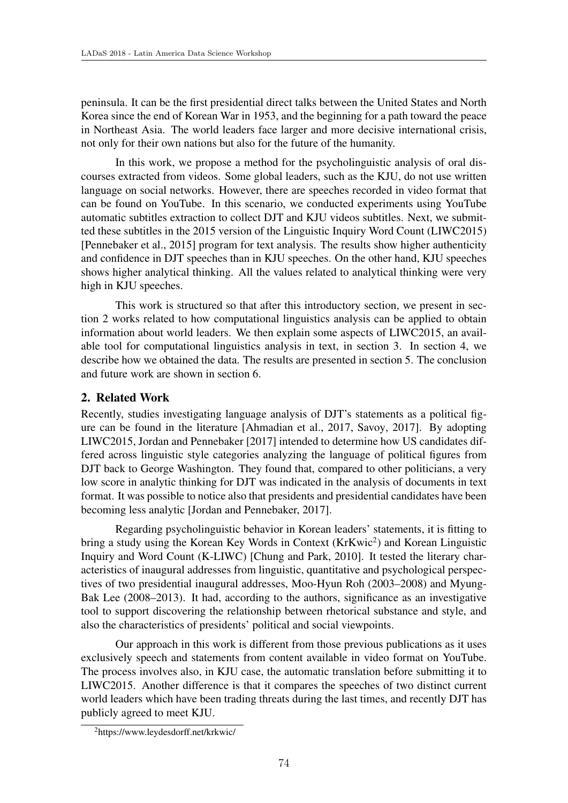peninsula. It can be the first presidential direct talks between the United States and North Korea since the end of Korean War in 1953, and the beginning for a path toward the peace in Northeast Asia. The world leaders face larger and more decisive international crisis, not only for their own nations but also for the future of the humanity.

In this work, we propose a method for the psycholinguistic analysis of oral discourses extracted from videos. Some global leaders, such as the KJU, do not use written language on social networks. However, there are speeches recorded in video format that can be found on YouTube. In this scenario, we conducted experiments using YouTube automatic subtitles extraction to collect DJT and KJU videos subtitles. Next, we submitted these subtitles in the 2015 version of the Linguistic Inquiry Word Count (LIWC2015) [Pennebaker et al., 2015] program for text analysis. The results show higher authenticity and confidence in DJT speeches than in KJU speeches. On the other hand, KJU speeches shows higher analytical thinking. All the values related to analytical thinking were very high in KJU speeches.

This work is structured so that after this introductory section, we present in section 2 works related to how computational linguistics analysis can be applied to obtain information about world leaders. We then explain some aspects of LIWC2015, an available tool for computational linguistics analysis in text, in section 3. In section 4, we describe how we obtained the data. The results are presented in section 5. The conclusion and future work are shown in section 6.

## 2. Related Work

Recently, studies investigating language analysis of DJT's statements as a political figure can be found in the literature [Ahmadian et al., 2017, Savoy, 2017]. By adopting LIWC2015, Jordan and Pennebaker [2017] intended to determine how US candidates differed across linguistic style categories analyzing the language of political figures from DJT back to George Washington. They found that, compared to other politicians, a very low score in analytic thinking for DJT was indicated in the analysis of documents in text format. It was possible to notice also that presidents and presidential candidates have been becoming less analytic [Jordan and Pennebaker, 2017].

Regarding psycholinguistic behavior in Korean leaders' statements, it is fitting to bring a study using the Korean Key Words in Context (KrKwic<sup>2</sup>) and Korean Linguistic Inquiry and Word Count (K-LIWC) [Chung and Park, 2010]. It tested the literary characteristics of inaugural addresses from linguistic, quantitative and psychological perspectives of two presidential inaugural addresses, Moo-Hyun Roh (2003–2008) and Myung-Bak Lee (2008–2013). It had, according to the authors, significance as an investigative tool to support discovering the relationship between rhetorical substance and style, and also the characteristics of presidents' political and social viewpoints.

Our approach in this work is different from those previous publications as it uses exclusively speech and statements from content available in video format on YouTube. The process involves also, in KJU case, the automatic translation before submitting it to LIWC2015. Another difference is that it compares the speeches of two distinct current world leaders which have been trading threats during the last times, and recently DJT has publicly agreed to meet KJU.

<sup>2</sup>https://www.leydesdorff.net/krkwic/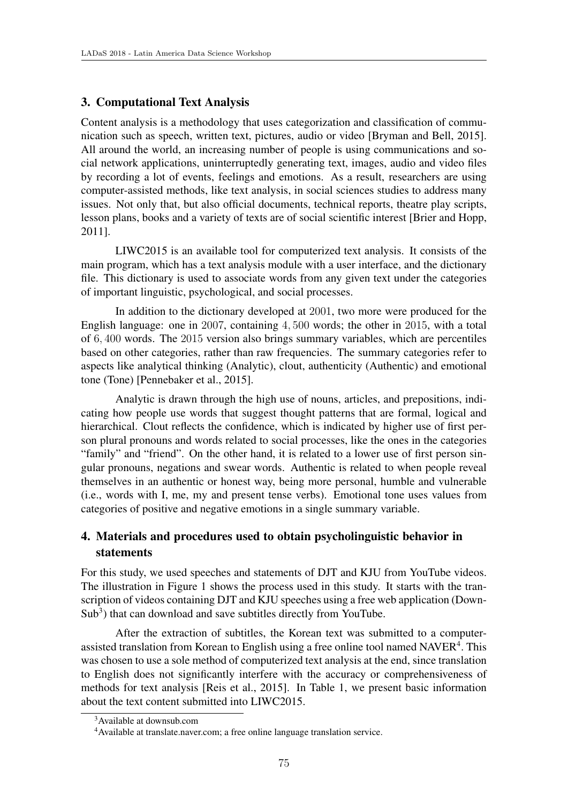### 3. Computational Text Analysis

Content analysis is a methodology that uses categorization and classification of communication such as speech, written text, pictures, audio or video [Bryman and Bell, 2015]. All around the world, an increasing number of people is using communications and social network applications, uninterruptedly generating text, images, audio and video files by recording a lot of events, feelings and emotions. As a result, researchers are using computer-assisted methods, like text analysis, in social sciences studies to address many issues. Not only that, but also official documents, technical reports, theatre play scripts, lesson plans, books and a variety of texts are of social scientific interest [Brier and Hopp, 2011].

LIWC2015 is an available tool for computerized text analysis. It consists of the main program, which has a text analysis module with a user interface, and the dictionary file. This dictionary is used to associate words from any given text under the categories of important linguistic, psychological, and social processes.

In addition to the dictionary developed at 2001, two more were produced for the English language: one in 2007, containing 4*,* 500 words; the other in 2015, with a total of 6*,* 400 words. The 2015 version also brings summary variables, which are percentiles based on other categories, rather than raw frequencies. The summary categories refer to aspects like analytical thinking (Analytic), clout, authenticity (Authentic) and emotional tone (Tone) [Pennebaker et al., 2015].

Analytic is drawn through the high use of nouns, articles, and prepositions, indicating how people use words that suggest thought patterns that are formal, logical and hierarchical. Clout reflects the confidence, which is indicated by higher use of first person plural pronouns and words related to social processes, like the ones in the categories "family" and "friend". On the other hand, it is related to a lower use of first person singular pronouns, negations and swear words. Authentic is related to when people reveal themselves in an authentic or honest way, being more personal, humble and vulnerable (i.e., words with I, me, my and present tense verbs). Emotional tone uses values from categories of positive and negative emotions in a single summary variable.

# 4. Materials and procedures used to obtain psycholinguistic behavior in statements

For this study, we used speeches and statements of DJT and KJU from YouTube videos. The illustration in Figure 1 shows the process used in this study. It starts with the transcription of videos containing DJT and KJU speeches using a free web application (Down- $Sub<sup>3</sup>$ ) that can download and save subtitles directly from YouTube.

After the extraction of subtitles, the Korean text was submitted to a computerassisted translation from Korean to English using a free online tool named  $NAVER<sup>4</sup>$ . This was chosen to use a sole method of computerized text analysis at the end, since translation to English does not significantly interfere with the accuracy or comprehensiveness of methods for text analysis [Reis et al., 2015]. In Table 1, we present basic information about the text content submitted into LIWC2015.

<sup>&</sup>lt;sup>3</sup>Available at downsub.com

<sup>4</sup>Available at translate.naver.com; a free online language translation service.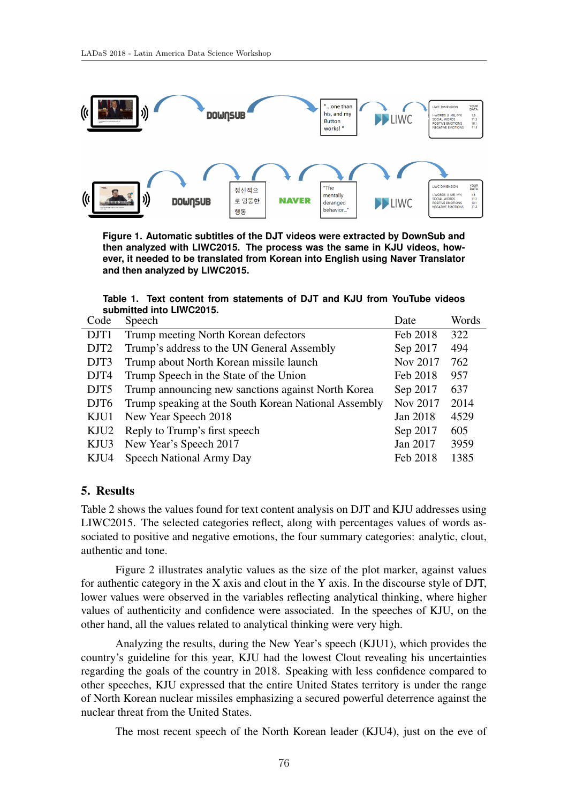

**Figure 1. Automatic subtitles of the DJT videos were extracted by DownSub and then analyzed with LIWC2015. The process was the same in KJU videos, however, it needed to be translated from Korean into English using Naver Translator and then analyzed by LIWC2015.**

#### **Table 1. Text content from statements of DJT and KJU from YouTube videos submitted into LIWC2015.**

| Code             | Speech                                               | Date     | Words |
|------------------|------------------------------------------------------|----------|-------|
| DJT1             | Trump meeting North Korean defectors                 | Feb 2018 | 322   |
| DJT <sub>2</sub> | Trump's address to the UN General Assembly           | Sep 2017 | 494   |
| DJT3             | Trump about North Korean missile launch              | Nov 2017 | 762   |
| DJT4             | Trump Speech in the State of the Union               | Feb 2018 | 957   |
| DJT5             | Trump announcing new sanctions against North Korea   | Sep 2017 | 637   |
| DJT <sub>6</sub> | Trump speaking at the South Korean National Assembly | Nov 2017 | 2014  |
| KJU1             | New Year Speech 2018                                 | Jan 2018 | 4529  |
| KJU2             | Reply to Trump's first speech                        | Sep 2017 | 605   |
| KJU3             | New Year's Speech 2017                               | Jan 2017 | 3959  |
| KJU4             | Speech National Army Day                             | Feb 2018 | 1385  |

### 5. Results

Table 2 shows the values found for text content analysis on DJT and KJU addresses using LIWC2015. The selected categories reflect, along with percentages values of words associated to positive and negative emotions, the four summary categories: analytic, clout, authentic and tone.

Figure 2 illustrates analytic values as the size of the plot marker, against values for authentic category in the X axis and clout in the Y axis. In the discourse style of DJT, lower values were observed in the variables reflecting analytical thinking, where higher values of authenticity and confidence were associated. In the speeches of KJU, on the other hand, all the values related to analytical thinking were very high.

Analyzing the results, during the New Year's speech (KJU1), which provides the country's guideline for this year, KJU had the lowest Clout revealing his uncertainties regarding the goals of the country in 2018. Speaking with less confidence compared to other speeches, KJU expressed that the entire United States territory is under the range of North Korean nuclear missiles emphasizing a secured powerful deterrence against the nuclear threat from the United States.

The most recent speech of the North Korean leader (KJU4), just on the eve of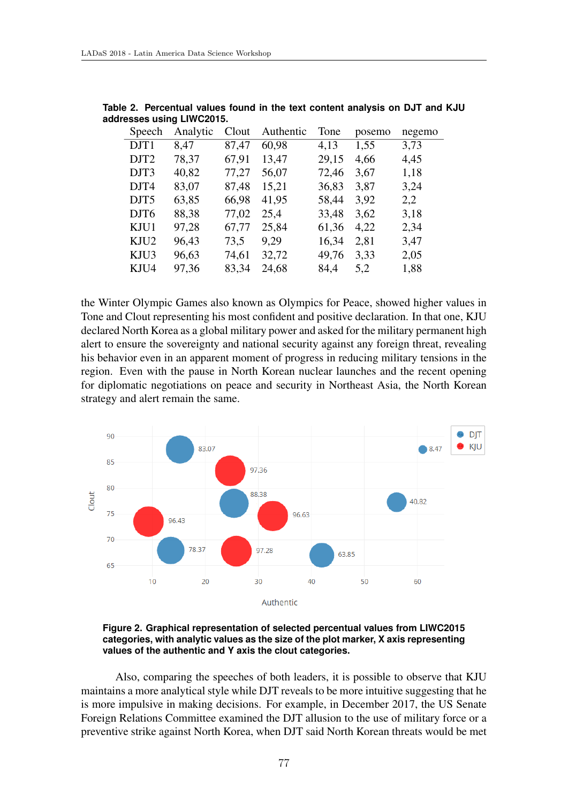| Speech           | Analytic | Clout | Authentic | Tone  | posemo | negemo |
|------------------|----------|-------|-----------|-------|--------|--------|
| DJT1             | 8,47     | 87,47 | 60,98     | 4,13  | 1,55   | 3,73   |
| DJT <sub>2</sub> | 78,37    | 67,91 | 13,47     | 29,15 | 4,66   | 4,45   |
| DJT3             | 40,82    | 77,27 | 56,07     | 72,46 | 3,67   | 1,18   |
| DJT4             | 83,07    | 87,48 | 15,21     | 36,83 | 3,87   | 3,24   |
| DJT <sub>5</sub> | 63,85    | 66,98 | 41,95     | 58,44 | 3,92   | 2,2    |
| DJT <sub>6</sub> | 88,38    | 77,02 | 25,4      | 33,48 | 3,62   | 3,18   |
| KJU1             | 97,28    | 67,77 | 25,84     | 61,36 | 4,22   | 2,34   |
| KJU2             | 96,43    | 73,5  | 9,29      | 16,34 | 2,81   | 3,47   |
| KJU3             | 96,63    | 74,61 | 32,72     | 49,76 | 3,33   | 2,05   |
| KJU4             | 97,36    | 83,34 | 24,68     | 84,4  | 5,2    | 1,88   |

**Table 2. Percentual values found in the text content analysis on DJT and KJU addresses using LIWC2015.**

the Winter Olympic Games also known as Olympics for Peace, showed higher values in Tone and Clout representing his most confident and positive declaration. In that one, KJU declared North Korea as a global military power and asked for the military permanent high alert to ensure the sovereignty and national security against any foreign threat, revealing his behavior even in an apparent moment of progress in reducing military tensions in the region. Even with the pause in North Korean nuclear launches and the recent opening for diplomatic negotiations on peace and security in Northeast Asia, the North Korean strategy and alert remain the same.



**Figure 2. Graphical representation of selected percentual values from LIWC2015 categories, with analytic values as the size of the plot marker, X axis representing values of the authentic and Y axis the clout categories.**

Also, comparing the speeches of both leaders, it is possible to observe that KJU maintains a more analytical style while DJT reveals to be more intuitive suggesting that he is more impulsive in making decisions. For example, in December 2017, the US Senate Foreign Relations Committee examined the DJT allusion to the use of military force or a preventive strike against North Korea, when DJT said North Korean threats would be met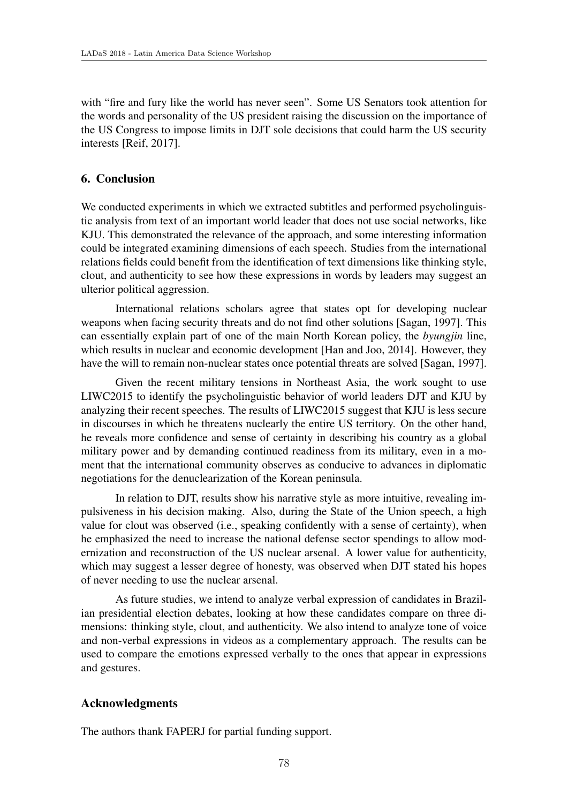with "fire and fury like the world has never seen". Some US Senators took attention for the words and personality of the US president raising the discussion on the importance of the US Congress to impose limits in DJT sole decisions that could harm the US security interests [Reif, 2017].

# 6. Conclusion

We conducted experiments in which we extracted subtitles and performed psycholinguistic analysis from text of an important world leader that does not use social networks, like KJU. This demonstrated the relevance of the approach, and some interesting information could be integrated examining dimensions of each speech. Studies from the international relations fields could benefit from the identification of text dimensions like thinking style, clout, and authenticity to see how these expressions in words by leaders may suggest an ulterior political aggression.

International relations scholars agree that states opt for developing nuclear weapons when facing security threats and do not find other solutions [Sagan, 1997]. This can essentially explain part of one of the main North Korean policy, the *byungjin* line, which results in nuclear and economic development [Han and Joo, 2014]. However, they have the will to remain non-nuclear states once potential threats are solved [Sagan, 1997].

Given the recent military tensions in Northeast Asia, the work sought to use LIWC2015 to identify the psycholinguistic behavior of world leaders DJT and KJU by analyzing their recent speeches. The results of LIWC2015 suggest that KJU is less secure in discourses in which he threatens nuclearly the entire US territory. On the other hand, he reveals more confidence and sense of certainty in describing his country as a global military power and by demanding continued readiness from its military, even in a moment that the international community observes as conducive to advances in diplomatic negotiations for the denuclearization of the Korean peninsula.

In relation to DJT, results show his narrative style as more intuitive, revealing impulsiveness in his decision making. Also, during the State of the Union speech, a high value for clout was observed (i.e., speaking confidently with a sense of certainty), when he emphasized the need to increase the national defense sector spendings to allow modernization and reconstruction of the US nuclear arsenal. A lower value for authenticity, which may suggest a lesser degree of honesty, was observed when DJT stated his hopes of never needing to use the nuclear arsenal.

As future studies, we intend to analyze verbal expression of candidates in Brazilian presidential election debates, looking at how these candidates compare on three dimensions: thinking style, clout, and authenticity. We also intend to analyze tone of voice and non-verbal expressions in videos as a complementary approach. The results can be used to compare the emotions expressed verbally to the ones that appear in expressions and gestures.

# Acknowledgments

The authors thank FAPERJ for partial funding support.